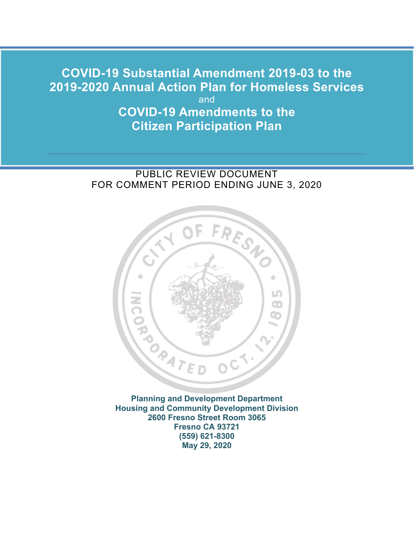# **2019-2020 Annual Action Plan for Homeless Services COVID-19 Substantial Amendment 2019-03 to the**  and

**COVID-19 Amendments to the Citizen Participation Plan** 

# PUBLIC REVIEW DOCUMENT FOR COMMENT PERIOD ENDING JUNE 3, 2020



 **2600 Fresno Street Room 3065 May 29, 2020 Planning and Development Department Housing and Community Development Division Fresno CA 93721 (559) 621-8300**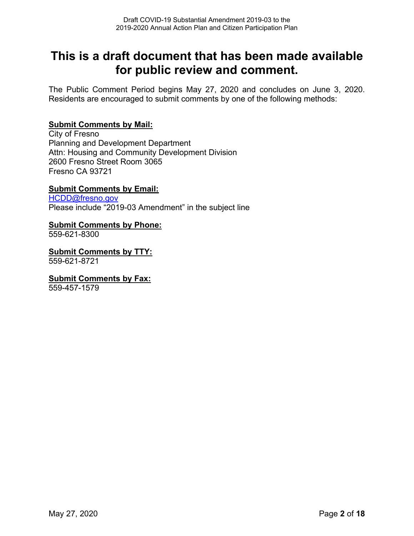# **This is a draft document that has been made available for public review and comment.**

 The Public Comment Period begins May 27, 2020 and concludes on June 3, 2020. Residents are encouraged to submit comments by one of the following methods:

#### **Submit Comments by Mail:**

City of Fresno Planning and Development Department Attn: Housing and Community Development Division 2600 Fresno Street Room 3065 Fresno CA 93721

#### **Submit Comments by Email:**

[HCDD@fresno.gov](mailto:HCDD@fresno.gov)  Please include "2019-03 Amendment" in the subject line

#### **Submit Comments by Phone:**

559-621-8300

**Submit Comments by TTY:** 559-621-8721

#### **Submit Comments by Fax:**

559-457-1579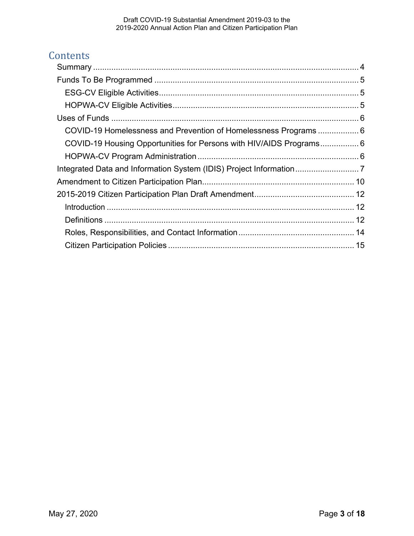# **Contents**

| COVID-19 Homelessness and Prevention of Homelessness Programs 6     |  |
|---------------------------------------------------------------------|--|
| COVID-19 Housing Opportunities for Persons with HIV/AIDS Programs 6 |  |
|                                                                     |  |
|                                                                     |  |
|                                                                     |  |
|                                                                     |  |
|                                                                     |  |
|                                                                     |  |
|                                                                     |  |
|                                                                     |  |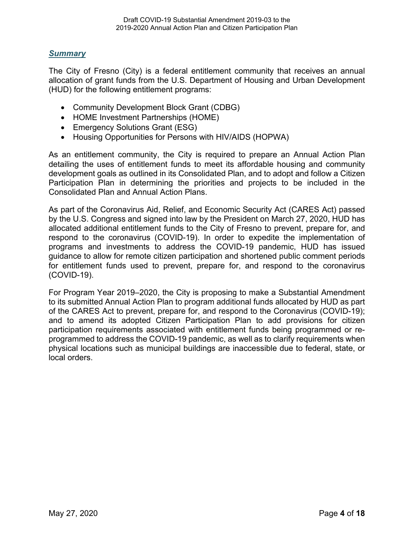#### <span id="page-3-0"></span>*Summary*

The City of Fresno (City) is a federal entitlement community that receives an annual allocation of grant funds from the U.S. Department of Housing and Urban Development (HUD) for the following entitlement programs:

- Community Development Block Grant (CDBG)
- HOME Investment Partnerships (HOME)
- Emergency Solutions Grant (ESG)
- Housing Opportunities for Persons with HIV/AIDS (HOPWA)

As an entitlement community, the City is required to prepare an Annual Action Plan detailing the uses of entitlement funds to meet its affordable housing and community development goals as outlined in its Consolidated Plan, and to adopt and follow a Citizen Participation Plan in determining the priorities and projects to be included in the Consolidated Plan and Annual Action Plans.

 As part of the Coronavirus Aid, Relief, and Economic Security Act (CARES Act) passed by the U.S. Congress and signed into law by the President on March 27, 2020, HUD has allocated additional entitlement funds to the City of Fresno to prevent, prepare for, and respond to the coronavirus (COVID-19). In order to expedite the implementation of programs and investments to address the COVID-19 pandemic, HUD has issued guidance to allow for remote citizen participation and shortened public comment periods for entitlement funds used to prevent, prepare for, and respond to the coronavirus (COVID-19).

For Program Year 2019–2020, the City is proposing to make a Substantial Amendment to its submitted Annual Action Plan to program additional funds allocated by HUD as part of the CARES Act to prevent, prepare for, and respond to the Coronavirus (COVID-19); and to amend its adopted Citizen Participation Plan to add provisions for citizen participation requirements associated with entitlement funds being programmed or reprogrammed to address the COVID-19 pandemic, as well as to clarify requirements when physical locations such as municipal buildings are inaccessible due to federal, state, or local orders.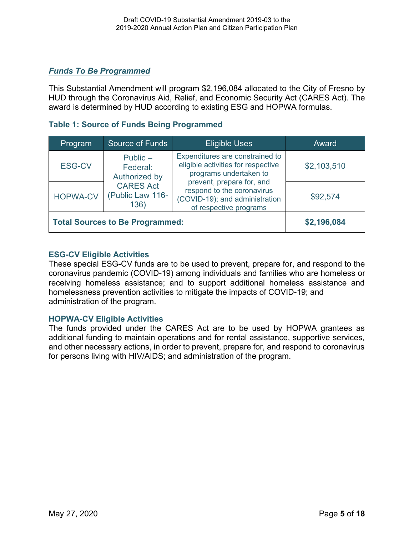#### <span id="page-4-0"></span>*Funds To Be Programmed*

This Substantial Amendment will program \$2,196,084 allocated to the City of Fresno by HUD through the Coronavirus Aid, Relief, and Economic Security Act (CARES Act). The award is determined by HUD according to existing ESG and HOPWA formulas.

#### **Table 1: Source of Funds Being Programmed**

| Program                                | Source of Funds                                                                         | <b>Eligible Uses</b>                                                                                                | Award       |
|----------------------------------------|-----------------------------------------------------------------------------------------|---------------------------------------------------------------------------------------------------------------------|-------------|
| <b>ESG-CV</b>                          | Public $-$<br>Federal:<br>Authorized by<br><b>CARES Act</b><br>(Public Law 116-<br>136) | Expenditures are constrained to<br>eligible activities for respective<br>programs undertaken to                     | \$2,103,510 |
| <b>HOPWA-CV</b>                        |                                                                                         | prevent, prepare for, and<br>respond to the coronavirus<br>(COVID-19); and administration<br>of respective programs | \$92,574    |
| <b>Total Sources to Be Programmed:</b> |                                                                                         |                                                                                                                     | \$2,196,084 |

#### <span id="page-4-1"></span>**ESG-CV Eligible Activities**

 coronavirus pandemic (COVID-19) among individuals and families who are homeless or These special ESG-CV funds are to be used to prevent, prepare for, and respond to the receiving homeless assistance; and to support additional homeless assistance and homelessness prevention activities to mitigate the impacts of COVID-19; and administration of the program.

#### <span id="page-4-2"></span>**HOPWA-CV Eligible Activities**

The funds provided under the CARES Act are to be used by HOPWA grantees as additional funding to maintain operations and for rental assistance, supportive services, and other necessary actions, in order to prevent, prepare for, and respond to coronavirus for persons living with HIV/AIDS; and administration of the program.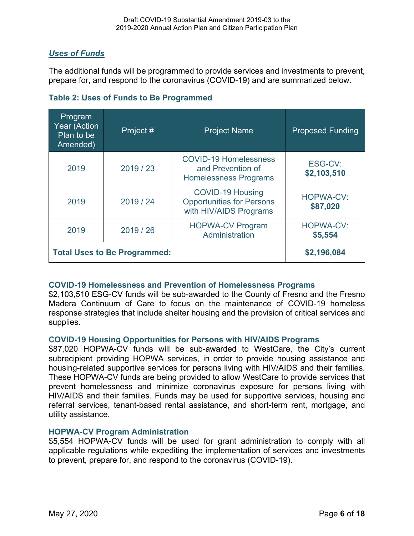### <span id="page-5-0"></span>*Uses of Funds*

The additional funds will be programmed to provide services and investments to prevent, prepare for, and respond to the coronavirus (COVID-19) and are summarized below.

| Program<br>Year (Action<br>Plan to be<br>Amended) | Project # | <b>Project Name</b>                                                                   | <b>Proposed Funding</b>      |
|---------------------------------------------------|-----------|---------------------------------------------------------------------------------------|------------------------------|
| 2019                                              | 2019 / 23 | <b>COVID-19 Homelessness</b><br>and Prevention of<br><b>Homelessness Programs</b>     | ESG-CV:<br>\$2,103,510       |
| 2019                                              | 2019 / 24 | <b>COVID-19 Housing</b><br><b>Opportunities for Persons</b><br>with HIV/AIDS Programs | <b>HOPWA-CV:</b><br>\$87,020 |
| 2019                                              | 2019/26   | <b>HOPWA-CV Program</b><br>Administration                                             | <b>HOPWA-CV:</b><br>\$5,554  |
| <b>Total Uses to Be Programmed:</b>               |           |                                                                                       | \$2,196,084                  |

#### <span id="page-5-1"></span>**COVID-19 Homelessness and Prevention of Homelessness Programs**

\$2,103,510 ESG-CV funds will be sub-awarded to the County of Fresno and the Fresno Madera Continuum of Care to focus on the maintenance of COVID-19 homeless response strategies that include shelter housing and the provision of critical services and supplies.

#### <span id="page-5-2"></span>**COVID-19 Housing Opportunities for Persons with HIV/AIDS Programs**

\$87,020 HOPWA-CV funds will be sub-awarded to WestCare, the City's current subrecipient providing HOPWA services, in order to provide housing assistance and housing-related supportive services for persons living with HIV/AIDS and their families. These HOPWA-CV funds are being provided to allow WestCare to provide services that prevent homelessness and minimize coronavirus exposure for persons living with HIV/AIDS and their families. Funds may be used for supportive services, housing and referral services, tenant-based rental assistance, and short-term rent, mortgage, and utility assistance.

#### <span id="page-5-3"></span>**HOPWA-CV Program Administration**

\$5,554 HOPWA-CV funds will be used for grant administration to comply with all applicable regulations while expediting the implementation of services and investments to prevent, prepare for, and respond to the coronavirus (COVID-19).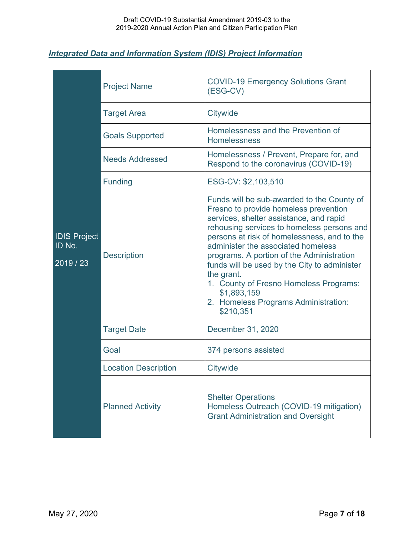#### <span id="page-6-0"></span> *Integrated Data and Information System (IDIS) Project Information*

| <b>IDIS Project</b><br>ID No.<br>2019 / 23 | <b>Project Name</b>         | <b>COVID-19 Emergency Solutions Grant</b><br>(ESG-CV)                                                                                                                                                                                                                                                                                                                                                                                                                                      |
|--------------------------------------------|-----------------------------|--------------------------------------------------------------------------------------------------------------------------------------------------------------------------------------------------------------------------------------------------------------------------------------------------------------------------------------------------------------------------------------------------------------------------------------------------------------------------------------------|
|                                            | <b>Target Area</b>          | Citywide                                                                                                                                                                                                                                                                                                                                                                                                                                                                                   |
|                                            | <b>Goals Supported</b>      | Homelessness and the Prevention of<br><b>Homelessness</b>                                                                                                                                                                                                                                                                                                                                                                                                                                  |
|                                            | <b>Needs Addressed</b>      | Homelessness / Prevent, Prepare for, and<br>Respond to the coronavirus (COVID-19)                                                                                                                                                                                                                                                                                                                                                                                                          |
|                                            | <b>Funding</b>              | ESG-CV: \$2,103,510                                                                                                                                                                                                                                                                                                                                                                                                                                                                        |
|                                            | <b>Description</b>          | Funds will be sub-awarded to the County of<br>Fresno to provide homeless prevention<br>services, shelter assistance, and rapid<br>rehousing services to homeless persons and<br>persons at risk of homelessness, and to the<br>administer the associated homeless<br>programs. A portion of the Administration<br>funds will be used by the City to administer<br>the grant.<br>1. County of Fresno Homeless Programs:<br>\$1,893,159<br>2. Homeless Programs Administration:<br>\$210,351 |
|                                            | <b>Target Date</b>          | December 31, 2020                                                                                                                                                                                                                                                                                                                                                                                                                                                                          |
|                                            | Goal                        | 374 persons assisted                                                                                                                                                                                                                                                                                                                                                                                                                                                                       |
|                                            | <b>Location Description</b> | Citywide                                                                                                                                                                                                                                                                                                                                                                                                                                                                                   |
|                                            | <b>Planned Activity</b>     | <b>Shelter Operations</b><br>Homeless Outreach (COVID-19 mitigation)<br><b>Grant Administration and Oversight</b>                                                                                                                                                                                                                                                                                                                                                                          |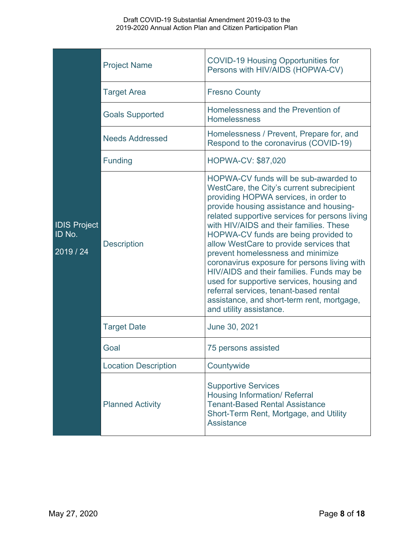| <b>IDIS Project</b><br>ID No.<br>2019 / 24 | <b>Project Name</b>         | <b>COVID-19 Housing Opportunities for</b><br>Persons with HIV/AIDS (HOPWA-CV)                                                                                                                                                                                                                                                                                                                                                                                                                                                                                                                                                                            |  |
|--------------------------------------------|-----------------------------|----------------------------------------------------------------------------------------------------------------------------------------------------------------------------------------------------------------------------------------------------------------------------------------------------------------------------------------------------------------------------------------------------------------------------------------------------------------------------------------------------------------------------------------------------------------------------------------------------------------------------------------------------------|--|
|                                            | <b>Target Area</b>          | <b>Fresno County</b>                                                                                                                                                                                                                                                                                                                                                                                                                                                                                                                                                                                                                                     |  |
|                                            | <b>Goals Supported</b>      | Homelessness and the Prevention of<br><b>Homelessness</b>                                                                                                                                                                                                                                                                                                                                                                                                                                                                                                                                                                                                |  |
|                                            | <b>Needs Addressed</b>      | Homelessness / Prevent, Prepare for, and<br>Respond to the coronavirus (COVID-19)                                                                                                                                                                                                                                                                                                                                                                                                                                                                                                                                                                        |  |
|                                            | <b>Funding</b>              | <b>HOPWA-CV: \$87,020</b>                                                                                                                                                                                                                                                                                                                                                                                                                                                                                                                                                                                                                                |  |
|                                            | <b>Description</b>          | HOPWA-CV funds will be sub-awarded to<br>WestCare, the City's current subrecipient<br>providing HOPWA services, in order to<br>provide housing assistance and housing-<br>related supportive services for persons living<br>with HIV/AIDS and their families. These<br>HOPWA-CV funds are being provided to<br>allow WestCare to provide services that<br>prevent homelessness and minimize<br>coronavirus exposure for persons living with<br>HIV/AIDS and their families. Funds may be<br>used for supportive services, housing and<br>referral services, tenant-based rental<br>assistance, and short-term rent, mortgage,<br>and utility assistance. |  |
|                                            | <b>Target Date</b>          | June 30, 2021                                                                                                                                                                                                                                                                                                                                                                                                                                                                                                                                                                                                                                            |  |
|                                            | Goal                        | 75 persons assisted                                                                                                                                                                                                                                                                                                                                                                                                                                                                                                                                                                                                                                      |  |
|                                            | <b>Location Description</b> | Countywide                                                                                                                                                                                                                                                                                                                                                                                                                                                                                                                                                                                                                                               |  |
|                                            | <b>Planned Activity</b>     | <b>Supportive Services</b><br><b>Housing Information/ Referral</b><br><b>Tenant-Based Rental Assistance</b><br>Short-Term Rent, Mortgage, and Utility<br><b>Assistance</b>                                                                                                                                                                                                                                                                                                                                                                                                                                                                               |  |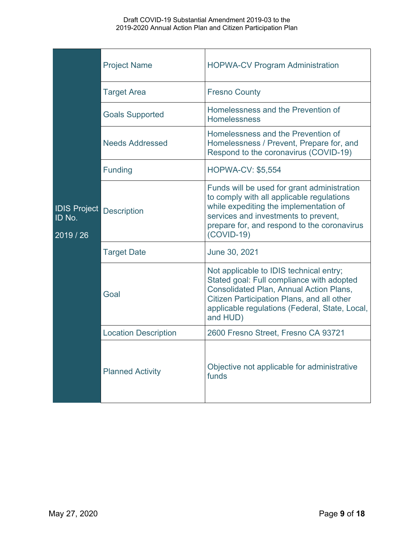| <b>IDIS Project</b><br>ID No.<br>2019 / 26 | <b>Project Name</b>         | <b>HOPWA-CV Program Administration</b>                                                                                                                                                                                                             |
|--------------------------------------------|-----------------------------|----------------------------------------------------------------------------------------------------------------------------------------------------------------------------------------------------------------------------------------------------|
|                                            | <b>Target Area</b>          | <b>Fresno County</b>                                                                                                                                                                                                                               |
|                                            | <b>Goals Supported</b>      | Homelessness and the Prevention of<br><b>Homelessness</b>                                                                                                                                                                                          |
|                                            | <b>Needs Addressed</b>      | Homelessness and the Prevention of<br>Homelessness / Prevent, Prepare for, and<br>Respond to the coronavirus (COVID-19)                                                                                                                            |
|                                            | <b>Funding</b>              | <b>HOPWA-CV: \$5,554</b>                                                                                                                                                                                                                           |
|                                            | <b>Description</b>          | Funds will be used for grant administration<br>to comply with all applicable regulations<br>while expediting the implementation of<br>services and investments to prevent,<br>prepare for, and respond to the coronavirus<br>$(COVID-19)$          |
|                                            | <b>Target Date</b>          | June 30, 2021                                                                                                                                                                                                                                      |
|                                            | Goal                        | Not applicable to IDIS technical entry;<br>Stated goal: Full compliance with adopted<br><b>Consolidated Plan, Annual Action Plans,</b><br>Citizen Participation Plans, and all other<br>applicable regulations (Federal, State, Local,<br>and HUD) |
|                                            | <b>Location Description</b> | 2600 Fresno Street, Fresno CA 93721                                                                                                                                                                                                                |
|                                            | <b>Planned Activity</b>     | Objective not applicable for administrative<br>funds                                                                                                                                                                                               |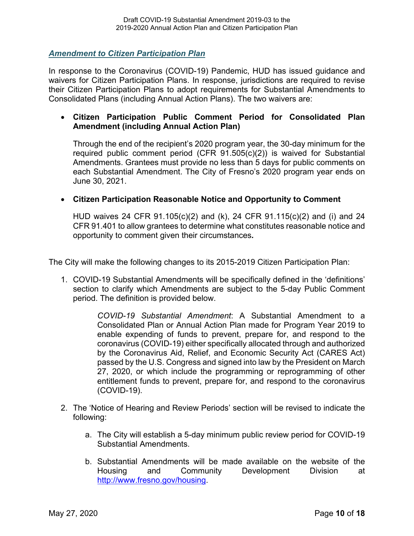<span id="page-9-0"></span>*Amendment to Citizen Participation Plan* 

In response to the Coronavirus (COVID-19) Pandemic, HUD has issued guidance and waivers for Citizen Participation Plans. In response, jurisdictions are required to revise their Citizen Participation Plans to adopt requirements for Substantial Amendments to Consolidated Plans (including Annual Action Plans). The two waivers are:

#### • **Citizen Participation Public Comment Period for Consolidated Plan Amendment (including Annual Action Plan)**

 Through the end of the recipient's 2020 program year, the 30-day minimum for the required public comment period (CFR 91.505(c)(2)) is waived for Substantial Amendments. Grantees must provide no less than 5 days for public comments on each Substantial Amendment. The City of Fresno's 2020 program year ends on June 30, 2021.

#### • **Citizen Participation Reasonable Notice and Opportunity to Comment**

HUD waives 24 CFR 91.105(c)(2) and (k), 24 CFR 91.115(c)(2) and (i) and 24 CFR 91.401 to allow grantees to determine what constitutes reasonable notice and opportunity to comment given their circumstances*.* 

The City will make the following changes to its 2015-2019 Citizen Participation Plan:

1. COVID-19 Substantial Amendments will be specifically defined in the 'definitions' section to clarify which Amendments are subject to the 5-day Public Comment period. The definition is provided below.

> (COVID-19). *COVID-19 Substantial Amendment*: A Substantial Amendment to a Consolidated Plan or Annual Action Plan made for Program Year 2019 to enable expending of funds to prevent, prepare for, and respond to the coronavirus (COVID-19) either specifically allocated through and authorized by the Coronavirus Aid, Relief, and Economic Security Act (CARES Act) passed by the U.S. Congress and signed into law by the President on March 27, 2020, or which include the programming or reprogramming of other entitlement funds to prevent, prepare for, and respond to the coronavirus

- 2. The 'Notice of Hearing and Review Periods' section will be revised to indicate the following:
	- a. The City will establish a 5-day minimum public review period for COVID-19 Substantial Amendments.
	- b. Substantial Amendments will be made available on the website of the Housing and Community Development Division at [http://www.fresno.gov/housing.](http://www.fresno.gov/housing)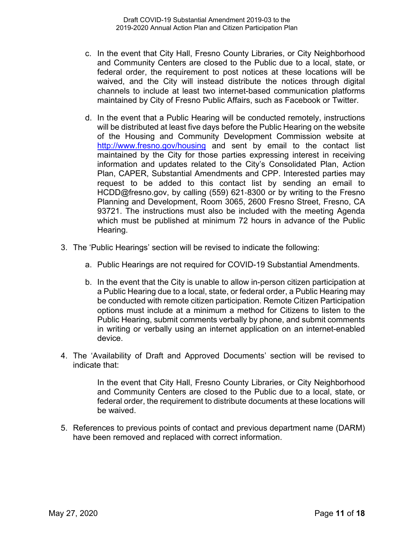- c. In the event that City Hall, Fresno County Libraries, or City Neighborhood and Community Centers are closed to the Public due to a local, state, or federal order, the requirement to post notices at these locations will be waived, and the City will instead distribute the notices through digital channels to include at least two internet-based communication platforms maintained by City of Fresno Public Affairs, such as Facebook or Twitter.
- which must be published at minimum 72 hours in advance of the Public d. In the event that a Public Hearing will be conducted remotely, instructions will be distributed at least five days before the Public Hearing on the website of the Housing and Community Development Commission website at <http://www.fresno.gov/housing>and sent by email to the contact list maintained by the City for those parties expressing interest in receiving information and updates related to the City's Consolidated Plan, Action Plan, CAPER, Substantial Amendments and CPP. Interested parties may request to be added to this contact list by sending an email to [HCDD@fresno.gov,](mailto:HCDD@fresno.gov) by calling (559) 621-8300 or by writing to the Fresno Planning and Development, Room 3065, 2600 Fresno Street, Fresno, CA 93721. The instructions must also be included with the meeting Agenda Hearing.
- 3. The 'Public Hearings' section will be revised to indicate the following:
	- a. Public Hearings are not required for COVID-19 Substantial Amendments.
	- b. In the event that the City is unable to allow in-person citizen participation at a Public Hearing due to a local, state, or federal order, a Public Hearing may be conducted with remote citizen participation. Remote Citizen Participation options must include at a minimum a method for Citizens to listen to the Public Hearing, submit comments verbally by phone, and submit comments in writing or verbally using an internet application on an internet-enabled device.
- 4. The 'Availability of Draft and Approved Documents' section will be revised to indicate that:

In the event that City Hall, Fresno County Libraries, or City Neighborhood and Community Centers are closed to the Public due to a local, state, or federal order, the requirement to distribute documents at these locations will be waived.

have been removed and replaced with correct information. 5. References to previous points of contact and previous department name (DARM) have been removed and replaced with correct information.<br>May 27, 2020 Page **11** of **18**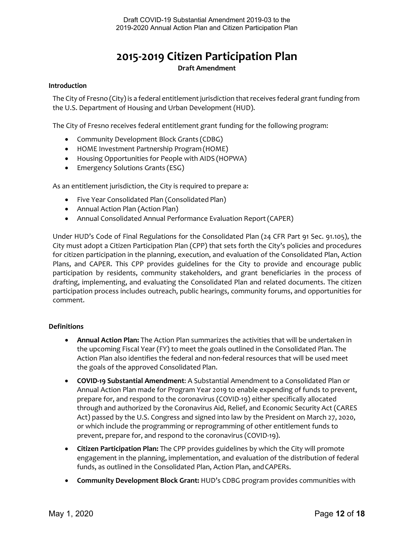## **2015-2019 Citizen Participation Plan Draft Amendment**

#### <span id="page-11-1"></span><span id="page-11-0"></span>**Introduction**

 The City of Fresno (City) is a federal entitlement jurisdiction that receives federal grant funding from the U.S. Department of Housing and Urban Development (HUD).

The City of Fresno receives federal entitlement grant funding for the following program:

- Community Development Block Grants (CDBG)
- HOME Investment Partnership Program (HOME)
- Housing Opportunities for People with AIDS (HOPWA)
- Emergency Solutions Grants (ESG)

As an entitlement jurisdiction, the City is required to prepare a:

- Five Year Consolidated Plan (Consolidated Plan)
- Annual Action Plan (Action Plan)
- Annual Consolidated Annual Performance Evaluation Report (CAPER)

 City must adopt a Citizen Participation Plan (CPP) that sets forth the City's policies and procedures for citizen participation in the planning, execution, and evaluation of the Consolidated Plan, Action Under HUD's Code of Final Regulations for the Consolidated Plan (24 CFR Part 91 Sec. 91.105), the Plans, and CAPER. This CPP provides guidelines for the City to provide and encourage public participation by residents, community stakeholders, and grant beneficiaries in the process of drafting, implementing, and evaluating the Consolidated Plan and related documents. The citizen participation process includes outreach, public hearings, community forums, and opportunities for comment.

#### <span id="page-11-2"></span>**Definitions**

- • **Annual Action Plan:** The Action Plan summarizes the activities that will be undertaken in the upcoming Fiscal Year (FY) to meet the goals outlined in the Consolidated Plan. The Action Plan also identifies the federal and non-federal resources that will be used meet the goals of the approved Consolidated Plan.
- Annual Action Plan made for Program Year 2019 to enable expending of funds to prevent, through and authorized by the Coronavirus Aid, Relief, and Economic Security Act (CARES Act) passed by the U.S. Congress and signed into law by the President on March 27, 2020, or which include the programming or reprogramming of other entitlement funds to prevent, prepare for, and respond to the coronavirus (COVID-19). • **COVID-19 Substantial Amendment**: A Substantial Amendment to a Consolidated Plan or prepare for, and respond to the coronavirus (COVID-19) either specifically allocated
- • **Citizen Participation Plan:** The CPP provides guidelines by which the City will promote engagement in the planning, implementation, and evaluation of the distribution of federal funds, as outlined in the Consolidated Plan, Action Plan, and CAPERs.
- **Community Development Block Grant:** HUD's CDBG program provides communities with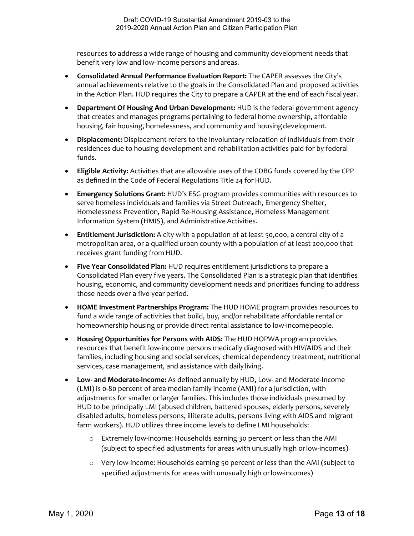resources to address a wide range of housing and community development needs that benefit very low and low-income persons and areas.

- annual achievements relative to the goals in the Consolidated Plan and proposed activities in the Action Plan. HUD requires the City to prepare a CAPER at the end of each fiscal year. • **Consolidated Annual Performance Evaluation Report:** The CAPER assesses the City's
- • **Department Of Housing And Urban Development:** HUD is the federal government agency that creates and manages programs pertaining to federal home ownership, affordable housing, fair housing, homelessness, and community and housing development.
- • **Displacement:** Displacement refers to the involuntary relocation of individuals from their residences due to housing development and rehabilitation activities paid for by federal funds.
- as defined in the Code of Federal Regulations Title 24 for HUD. • **Eligible Activity:** Activities that are allowable uses of the CDBG funds covered by the CPP
- • **Emergency Solutions Grant:** HUD's ESG program provides communities with resources to serve homeless individuals and families via Street Outreach, Emergency Shelter, Information System (HMIS), and Administrative Activities. Homelessness Prevention, Rapid Re-Housing Assistance, Homeless Management
- • **Entitlement Jurisdiction:** A city with a population of at least 50,000, a central city of a receives grant funding from HUD. metropolitan area, or a qualified urban county with a population of at least 200,000 that
- • **Five Year Consolidated Plan:** HUD requires entitlement jurisdictions to prepare a Consolidated Plan every five years. The Consolidated Plan is a strategic plan that identifies housing, economic, and community development needs and prioritizes funding to address those needs over a five-year period.
- • **HOME Investment Partnerships Program:** The HUD HOME program provides resources to fund a wide range of activities that build, buy, and/or rehabilitate affordable rental or homeownership housing or provide direct rental assistance to low-income people.
- resources that benefit low-income persons medically diagnosed with HIV/AIDS and their services, case management, and assistance with daily living. • **Housing Opportunities for Persons with AIDS:** The HUD HOPWA program provides families, including housing and social services, chemical dependency treatment, nutritional
- • **Low- and Moderate-Income:** As defined annually by HUD, Low- and Moderate-Income (LMI) is 0-80 percent of area median family income (AMI) for a jurisdiction, with adjustments for smaller or larger families. This includes those individuals presumed by HUD to be principally LMI (abused children, battered spouses, elderly persons, severely disabled adults, homeless persons, illiterate adults, persons living with AIDS and migrant farm workers). HUD utilizes three income levels to define LMI households:
	- (subject to specified adjustments for areas with unusually high or low-incomes) o Extremely low-income: Households earning 30 percent or less than the AMI
	- o Very low-income: Households earning 50 percent or less than the AMI (subject to specified adjustments for areas with unusually high or low-incomes)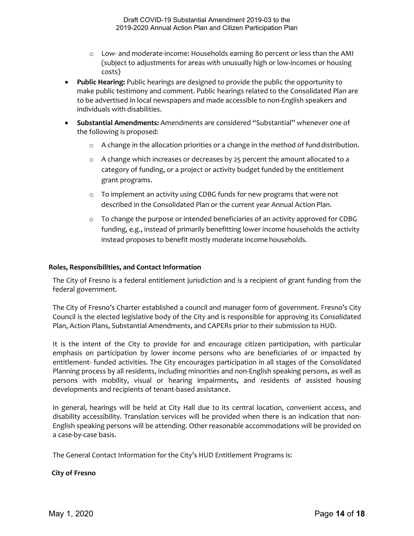- o Low- and moderate-income: Households earning 80 percent or less than the AMI (subject to adjustments for areas with unusually high or low-incomes or housing costs)
- • **Public Hearing:** Public hearings are designed to provide the public the opportunity to to be advertised in local newspapers and made accessible to non-English speakers and individuals with disabilities. make public testimony and comment. Public hearings related to the Consolidated Plan are
- the following is proposed: • **Substantial Amendments:** Amendments are considered "Substantial" whenever one of
	- o A change in the allocation priorities or a change in the method of fund distribution.
	- $\circ$  A change which increases or decreases by 25 percent the amount allocated to a category of funding, or a project or activity budget funded by the entitlement grant programs.
	- $\circ$  To implement an activity using CDBG funds for new programs that were not described in the Consolidated Plan or the current year Annual Action Plan.
	- $\circ$  To change the purpose or intended beneficiaries of an activity approved for CDBG funding, e.g., instead of primarily benefitting lower income households the activity instead proposes to benefit mostly moderate income households.

#### <span id="page-13-0"></span>**Roles, Responsibilities, and Contact Information**

 The City of Fresno is a federal entitlement jurisdiction and is a recipient of grant funding from the federal government.

 The City of Fresno's Charter established a council and manager form of government. Fresno's City Plan, Action Plans, Substantial Amendments, and CAPERs prior to their submission to HUD. Council is the elected legislative body of the City and is responsible for approving its Consolidated

 Planning process by all residents, including minorities and non-English speaking persons, as well as persons with mobility, visual or hearing impairments, and residents of assisted housing It is the intent of the City to provide for and encourage citizen participation, with particular emphasis on participation by lower income persons who are beneficiaries of or impacted by entitlement- funded activities. The City encourages participation in all stages of the Consolidated developments and recipients of tenant-based assistance.

 In general, hearings will be held at City Hall due to its central location, convenient access, and disability accessibility. Translation services will be provided when there is an indication that non-English speaking persons will be attending. Other reasonable accommodations will be provided on a case-by-case basis.

The General Contact Information for the City's HUD Entitlement Programs is:

#### **City of Fresno**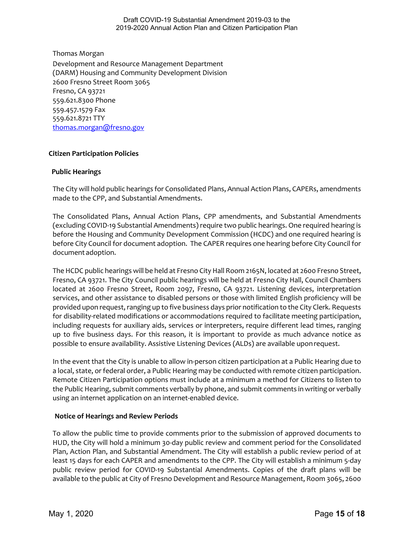559.621.8300 Phone 559.457.1579 Fax Thomas Morgan Development and Resource Management Department (DARM) Housing and Community Development Division 2600 Fresno Street Room 3065 Fresno, CA 93721 559.621.8721 TTY [thomas.morgan@fresno.gov](mailto:crystal.smith@fresno.gov) 

# <span id="page-14-0"></span> **Citizen Participation Policies Public Hearings**

 The City will hold public hearings for Consolidated Plans, Annual Action Plans, CAPERs, amendments made to the CPP, and Substantial Amendments.

 (excluding COVID-19 Substantial Amendments) require two public hearings. One required hearing is before the Housing and Community Development Commission (HCDC) and one required hearing is before City Council for document adoption. The CAPER requires one hearing before City Council for document adoption. The Consolidated Plans, Annual Action Plans, CPP amendments, and Substantial Amendments

 provided upon request, ranging up to five business days prior notification to the City Clerk. Requests possible to ensure availability. Assistive Listening Devices (ALDs) are available upon request. The HCDC public hearings will be held at Fresno City Hall Room 2165N, located at 2600 Fresno Street, Fresno, CA 93721. The City Council public hearings will be held at Fresno City Hall, Council Chambers located at 2600 Fresno Street, Room 2097, Fresno, CA 93721. Listening devices, interpretation services, and other assistance to disabled persons or those with limited English proficiency will be for disability-related modifications or accommodations required to facilitate meeting participation, including requests for auxiliary aids, services or interpreters, require different lead times, ranging up to five business days. For this reason, it is important to provide as much advance notice as

 a local, state, or federal order, a Public Hearing may be conducted with remote citizen participation. Remote Citizen Participation options must include at a minimum a method for Citizens to listen to the Public Hearing, submit comments verbally by phone, and submit comments in writing or verbally using an internet application on an internet-enabled device. In the event that the City is unable to allow in-person citizen participation at a Public Hearing due to

#### **Notice of Hearings and Review Periods**

 To allow the public time to provide comments prior to the submission of approved documents to available to the public at City of Fresno Development and Resource Management, Room 3065, 2600 HUD, the City will hold a minimum 30-day public review and comment period for the Consolidated Plan, Action Plan, and Substantial Amendment. The City will establish a public review period of at least 15 days for each CAPER and amendments to the CPP. The City will establish a minimum 5-day public review period for COVID-19 Substantial Amendments. Copies of the draft plans will be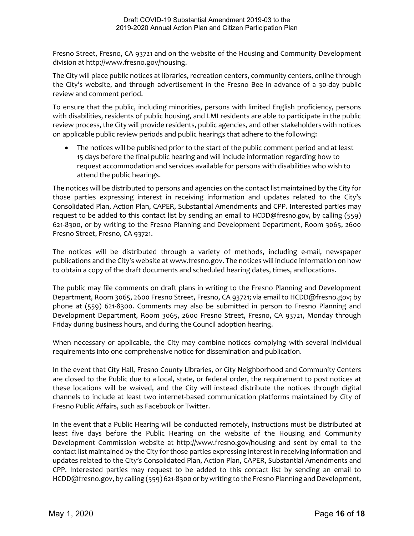Fresno Street, Fresno, CA 93721 and on the website of the Housing and Community Development division at [http://www.fresno.gov/housing.](http://www.fresno.gov/housing)

The City will place public notices at libraries, recreation centers, community centers, online through the City's website, and through advertisement in the Fresno Bee in advance of a 30-day public review and comment period.

 To ensure that the public, including minorities, persons with limited English proficiency, persons with disabilities, residents of public housing, and LMI residents are able to participate in the public on applicable public review periods and public hearings that adhere to the following: review process, the City will provide residents, public agencies, and other stakeholders with notices

 • The notices will be published prior to the start of the public comment period and at least 15 days before the final public hearing and will include information regarding how to request accommodation and services available for persons with disabilities who wish to attend the public hearings.

 The notices will be distributed to persons and agencies on the contact list maintained by the City for request to be added to this contact list by sending an email to [HCDD@fresno.gov](mailto:Crystal.smith@fresno.gov), by calling (559) those parties expressing interest in receiving information and updates related to the City's Consolidated Plan, Action Plan, CAPER, Substantial Amendments and CPP. Interested parties may 621-8300, or by writing to the Fresno Planning and Development Department, Room 3065, 2600 Fresno Street, Fresno, CA 93721.

 The notices will be distributed through a variety of methods, including e-mail, newspaper to obtain a copy of the draft documents and scheduled hearing dates, times, and locations. publications and the City's website at [www.fresno.gov. T](http://www.fresno.gov/)he notices will include information on how

 The public may file comments on draft plans in writing to the Fresno Planning and Development Department, Room 3065, 2600 Fresno Street, Fresno, CA 93721; via email to [HCDD@fresno.gov;](mailto:HCDD@fresno.gov) by phone at (559) 621-8300. Comments may also be submitted in person to Fresno Planning and Development Department, Room 3065, 2600 Fresno Street, Fresno, CA 93721, Monday through Friday during business hours, and during the Council adoption hearing.

 When necessary or applicable, the City may combine notices complying with several individual requirements into one comprehensive notice for dissemination and publication.

 these locations will be waived, and the City will instead distribute the notices through digital channels to include at least two internet-based communication platforms maintained by City of In the event that City Hall, Fresno County Libraries, or City Neighborhood and Community Centers are closed to the Public due to a local, state, or federal order, the requirement to post notices at Fresno Public Affairs, such as Facebook or Twitter.

In the event that a Public Hearing will be conducted remotely, instructions must be distributed at least five days before the Public Hearing on the website of the Housing and Community Development Commission website at <http://www.fresno.gov/housing>and sent by email to the contact list maintained by the City for those parties expressing interest in receiving information and updates related to the City's Consolidated Plan, Action Plan, CAPER, Substantial Amendments and CPP. Interested parties may request to be added to this contact list by sending an email to [HCDD@fresno.gov](mailto:HCDD@fresno.gov), by calling (559) 621-8300 or by writing to the Fresno Planning and Development,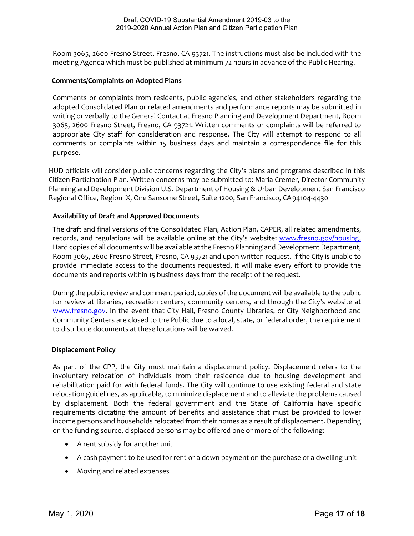Room 3065, 2600 Fresno Street, Fresno, CA 93721. The instructions must also be included with the meeting Agenda which must be published at minimum 72 hours in advance of the Public Hearing.

#### **Comments/Complaints on Adopted Plans**

 Comments or complaints from residents, public agencies, and other stakeholders regarding the adopted Consolidated Plan or related amendments and performance reports may be submitted in writing or verbally to the General Contact at Fresno Planning and Development Department, Room 3065, 2600 Fresno Street, Fresno, CA 93721. Written comments or complaints will be referred to appropriate City staff for consideration and response. The City will attempt to respond to all comments or complaints within 15 business days and maintain a correspondence file for this purpose.

 Regional Office, Region IX, One Sansome Street, Suite 1200, San Francisco, CA94104-4430 HUD officials will consider public concerns regarding the City's plans and programs described in this Citizen Participation Plan. Written concerns may be submitted to: Maria Cremer, Director Community Planning and Development Division U.S. Department of Housing & Urban Development San Francisco

#### **Availability of Draft and Approved Documents**

 The draft and final versions of the Consolidated Plan, Action Plan, CAPER, all related amendments, records, and regulations will be available online at the City's website: www.fresno.gov/housing. Room 3065, 2600 Fresno Street, Fresno, CA 93721 and upon written request. If the City is unable to documents and reports within 15 business days from the receipt of the request. Hard copies of all documents will be available at the Fresno Planning and Development Department, provide immediate access to the documents requested, it will make every effort to provide the

[www.fresno.gov.](http://www.fresno.gov/) In the event that City Hall, Fresno County Libraries, or City Neighborhood and Community Centers are closed to the Public due to a local, state, or federal order, the requirement During the public review and comment period, copies of the document will be available to the public for review at libraries, recreation centers, community centers, and through the City's website at to distribute documents at these locations will be waived.

#### **Displacement Policy**

 As part of the CPP, the City must maintain a displacement policy. Displacement refers to the involuntary relocation of individuals from their residence due to housing development and rehabilitation paid for with federal funds. The City will continue to use existing federal and state relocation guidelines, as applicable, to minimize displacement and to alleviate the problems caused by displacement. Both the federal government and the State of California have specific requirements dictating the amount of benefits and assistance that must be provided to lower income persons and households relocated from their homes as a result of displacement. Depending on the funding source, displaced persons may be offered one or more of the following:

- A rent subsidy for another unit
- A cash payment to be used for rent or a down payment on the purchase of a dwelling unit
- Moving and related expenses